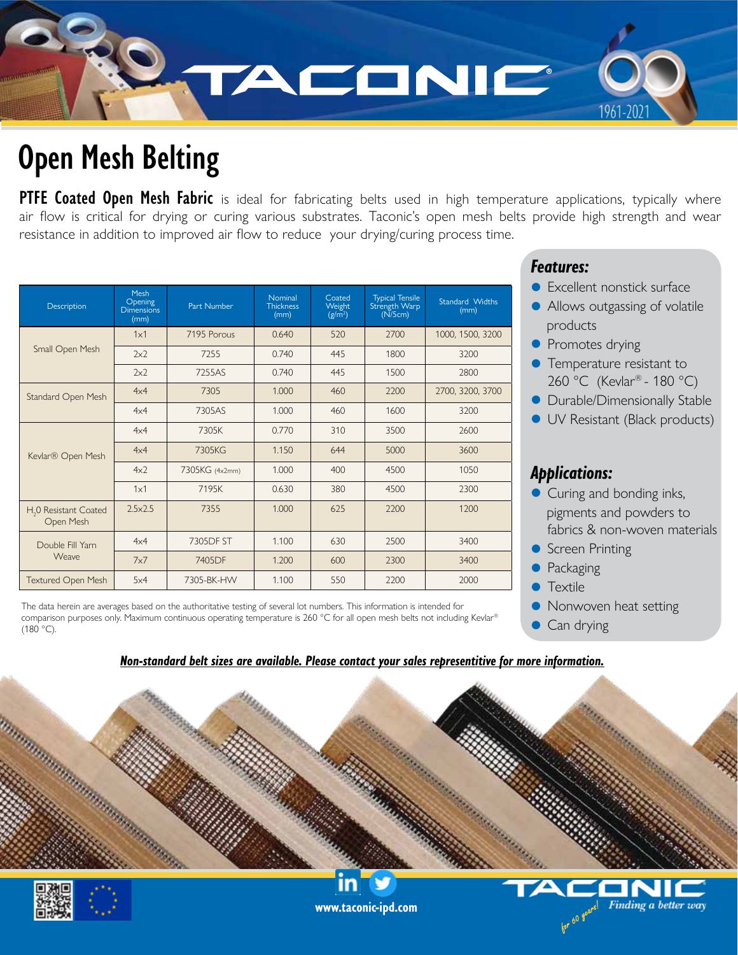

# **Open Mesh Belting**

**PTFE Coated Open Mesh Fabric** is ideal for fabricating belts used in high temperature applications, typically where air flow is critical for drying or curing various substrates. Taconic's open mesh belts provide high strength and wear resistance in addition to improved air flow to reduce your drying/curing process time.

| Description                                    | Mesh<br>Opening<br><b>Dimensions</b><br>(mm) | Part Number    | Nominal<br><b>Thickness</b><br>(mm) | Coated<br>Weight<br>$(g/m^2)$ | <b>Typical Tensile</b><br>Strength Warp<br>(N/5cm) | Standard Widths<br>(mm) |
|------------------------------------------------|----------------------------------------------|----------------|-------------------------------------|-------------------------------|----------------------------------------------------|-------------------------|
| Small Open Mesh                                | 1x1                                          | 7195 Porous    | 0.640                               | 520                           | 2700                                               | 1000, 1500, 3200        |
|                                                | 2x2                                          | 7255           | 0.740                               | 445                           | 1800                                               | 3200                    |
|                                                | 2x2                                          | 7255AS         | 0.740                               | 445                           | 1500                                               | 2800                    |
| Standard Open Mesh                             | 4x4                                          | 7305           | 1.000                               | 460                           | 2200                                               | 2700, 3200, 3700        |
|                                                | 4x4                                          | 7305AS         | 1.000                               | 460                           | 1600                                               | 3200                    |
| Kevlar® Open Mesh                              | 4x4                                          | 7305K          | 0.770                               | 310                           | 3500                                               | 2600                    |
|                                                | 4x4                                          | 7305KG         | 1.150                               | 644                           | 5000                                               | 3600                    |
|                                                | 4x <sup>2</sup>                              | 7305KG (4x2mm) | 1.000                               | 400                           | 4500                                               | 1050                    |
|                                                | 1x1                                          | 7195K          | 0.630                               | 380                           | 4500                                               | 2300                    |
| H <sub>2</sub> 0 Resistant Coated<br>Open Mesh | $2.5 \times 2.5$                             | 7355           | 1.000                               | 625                           | 2200                                               | 1200                    |
| Double Fill Yarn<br><b>Weave</b>               | 4x4                                          | 7305DF ST      | 1.100                               | 630                           | 2500                                               | 3400                    |
|                                                | 7x7                                          | 7405DF         | 1.200                               | 600                           | 2300                                               | 3400                    |
| <b>Textured Open Mesh</b>                      | 5x4                                          | 7305-BK-HW     | 1.100                               | 550                           | 2200                                               | 2000                    |

The data herein are averages based on the authoritative testing of several lot numbers. This information is intended for comparison purposes only. Maximum continuous operating temperature is 260 °C for all open mesh belts not including Kevlar® (180 °C).

## *Features:*

- **Excellent nonstick surface**
- Allows outgassing of volatile products
- **•** Promotes drying
- **•** Temperature resistant to 260 °C (Kevlar® - 180 °C)
- **•** Durable/Dimensionally Stable
- **IV Resistant (Black products)**

## *Applications:*

- Curing and bonding inks, pigments and powders to fabrics & non-woven materials
- **C** Screen Printing
- Packaging
- $\bullet$  Textile
- Nonwoven heat setting
- Can drying

#### *Non-standard belt sizes are available. Please contact your sales representitive for more information.*





**www.taconic-ipd.com**

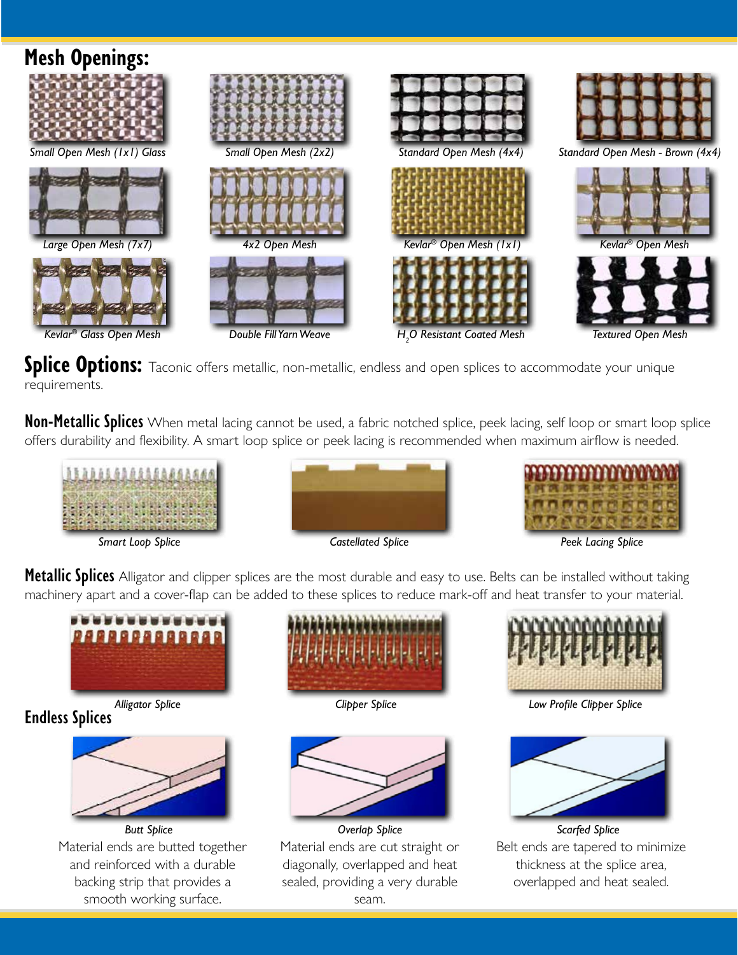

Splice Options: Taconic offers metallic, non-metallic, endless and open splices to accommodate your unique requirements.

**Non-Metallic Splices** When metal lacing cannot be used, a fabric notched splice, peek lacing, self loop or smart loop splice offers durability and flexibility. A smart loop splice or peek lacing is recommended when maximum airflow is needed.







Metallic Splices Alligator and clipper splices are the most durable and easy to use. Belts can be installed without taking machinery apart and a cover-flap can be added to these splices to reduce mark-off and heat transfer to your material.



**Endless Splices**



Material ends are butted together and reinforced with a durable backing strip that provides a smooth working surface.



*Alligator Splice Clipper Splice*



*Butt Splice Overlap Splice Scarfed Splice* Material ends are cut straight or diagonally, overlapped and heat sealed, providing a very durable seam.



*Low Profile Clipper Splice*



Belt ends are tapered to minimize thickness at the splice area, overlapped and heat sealed.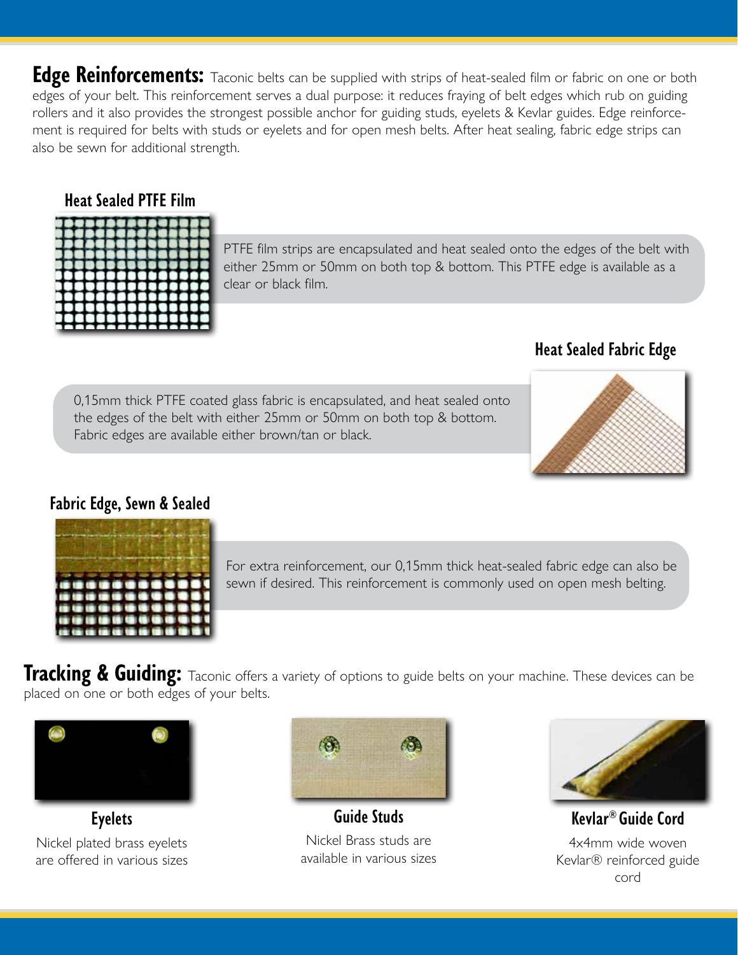**Edge Reinforcements:** Taconic belts can be supplied with strips of heat-sealed film or fabric on one or both edges of your belt. This reinforcement serves a dual purpose: it reduces fraying of belt edges which rub on guiding rollers and it also provides the strongest possible anchor for guiding studs, eyelets & Kevlar guides. Edge reinforcement is required for belts with studs or eyelets and for open mesh belts. After heat sealing, fabric edge strips can also be sewn for additional strength.

### **Heat Sealed PTFE Film**

|   | 31  | L<br>п | O |  |
|---|-----|--------|---|--|
| ٠ | ٠   | ш      | г |  |
|   | - 1 | u      | × |  |
|   |     | o      | a |  |

PTFE film strips are encapsulated and heat sealed onto the edges of the belt with either 25mm or 50mm on both top & bottom. This PTFE edge is available as a clear or black film.

# **Heat Sealed Fabric Edge**

0,15mm thick PTFE coated glass fabric is encapsulated, and heat sealed onto the edges of the belt with either 25mm or 50mm on both top & bottom. Fabric edges are available either brown/tan or black.



### **Fabric Edge, Sewn & Sealed**



For extra reinforcement, our 0,15mm thick heat-sealed fabric edge can also be sewn if desired. This reinforcement is commonly used on open mesh belting.

**Tracking & Guiding:** Taconic offers a variety of options to guide belts on your machine. These devices can be placed on one or both edges of your belts.



Nickel plated brass eyelets are offered in various sizes



**Eyelets Guide Studs** Nickel Brass studs are available in various sizes



**Kevlar® Guide Cord** 4x4mm wide woven Kevlar® reinforced guide cord